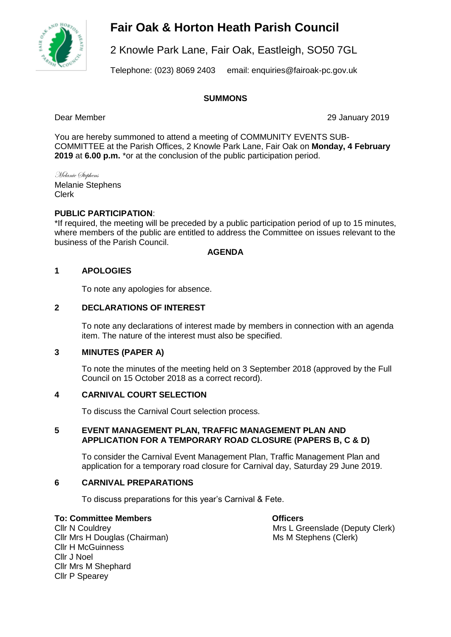

# **Fair Oak & Horton Heath Parish Council**

2 Knowle Park Lane, Fair Oak, Eastleigh, SO50 7GL

Telephone: (023) 8069 2403 email: enquiries@fairoak-pc.gov.uk

### **SUMMONS**

Dear Member 29 January 2019

You are hereby summoned to attend a meeting of COMMUNITY EVENTS SUB-COMMITTEE at the Parish Offices, 2 Knowle Park Lane, Fair Oak on **Monday, 4 February 2019** at **6.00 p.m.** \*or at the conclusion of the public participation period.

Melanie Stephens Melanie Stephens Clerk

## **PUBLIC PARTICIPATION**:

\*If required, the meeting will be preceded by a public participation period of up to 15 minutes, where members of the public are entitled to address the Committee on issues relevant to the business of the Parish Council.

### **AGENDA**

## **1 APOLOGIES**

To note any apologies for absence.

### **2 DECLARATIONS OF INTEREST**

To note any declarations of interest made by members in connection with an agenda item. The nature of the interest must also be specified.

## **3 MINUTES (PAPER A)**

To note the minutes of the meeting held on 3 September 2018 (approved by the Full Council on 15 October 2018 as a correct record).

### **4 CARNIVAL COURT SELECTION**

To discuss the Carnival Court selection process.

### **5 EVENT MANAGEMENT PLAN, TRAFFIC MANAGEMENT PLAN AND APPLICATION FOR A TEMPORARY ROAD CLOSURE (PAPERS B, C & D)**

To consider the Carnival Event Management Plan, Traffic Management Plan and application for a temporary road closure for Carnival day, Saturday 29 June 2019.

# **6 CARNIVAL PREPARATIONS**

To discuss preparations for this year's Carnival & Fete.

### **To: Committee Members Committee Members**

Cllr Mrs H Douglas (Chairman) Ms M Stephens (Clerk) Cllr H McGuinness Cllr J Noel Cllr Mrs M Shephard Cllr P Spearey

Cllr N Couldrey **Mrs L Greenslade (Deputy Clerk)**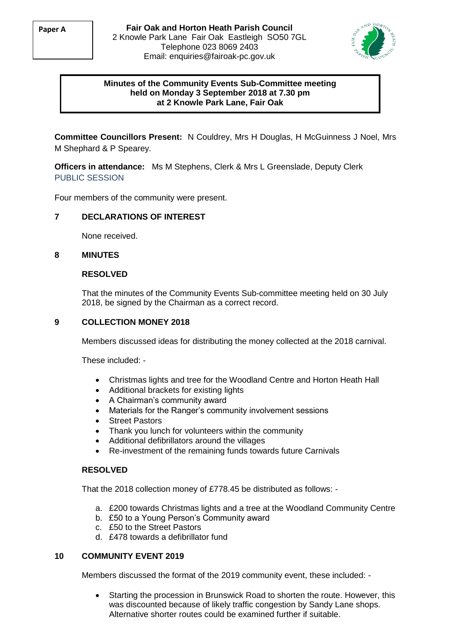

## **Minutes of the Community Events Sub-Committee meeting held on Monday 3 September 2018 at 7.30 pm at 2 Knowle Park Lane, Fair Oak**

**Committee Councillors Present:** N Couldrey, Mrs H Douglas, H McGuinness J Noel, Mrs M Shephard & P Spearey.

**Officers in attendance:** Ms M Stephens, Clerk & Mrs L Greenslade, Deputy Clerk PUBLIC SESSION

Four members of the community were present.

### **7 DECLARATIONS OF INTEREST**

None received.

### **8 MINUTES**

#### **RESOLVED**

That the minutes of the Community Events Sub-committee meeting held on 30 July 2018, be signed by the Chairman as a correct record.

## **9 COLLECTION MONEY 2018**

Members discussed ideas for distributing the money collected at the 2018 carnival.

These included: -

- Christmas lights and tree for the Woodland Centre and Horton Heath Hall
- Additional brackets for existing lights
- A Chairman's community award
- Materials for the Ranger's community involvement sessions
- **Street Pastors**
- Thank you lunch for volunteers within the community
- Additional defibrillators around the villages
- Re-investment of the remaining funds towards future Carnivals

#### **RESOLVED**

That the 2018 collection money of £778.45 be distributed as follows: -

- a. £200 towards Christmas lights and a tree at the Woodland Community Centre
- b. £50 to a Young Person's Community award
- c. £50 to the Street Pastors
- d. £478 towards a defibrillator fund

### **10 COMMUNITY EVENT 2019**

Members discussed the format of the 2019 community event, these included: -

• Starting the procession in Brunswick Road to shorten the route. However, this was discounted because of likely traffic congestion by Sandy Lane shops. Alternative shorter routes could be examined further if suitable.